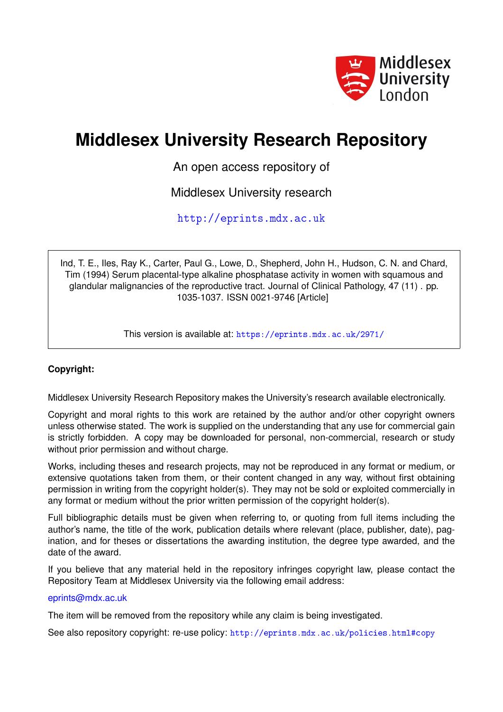

# **Middlesex University Research Repository**

An open access repository of

Middlesex University research

<http://eprints.mdx.ac.uk>

Ind, T. E., Iles, Ray K., Carter, Paul G., Lowe, D., Shepherd, John H., Hudson, C. N. and Chard, Tim (1994) Serum placental-type alkaline phosphatase activity in women with squamous and glandular malignancies of the reproductive tract. Journal of Clinical Pathology, 47 (11) . pp. 1035-1037. ISSN 0021-9746 [Article]

This version is available at: <https://eprints.mdx.ac.uk/2971/>

## **Copyright:**

Middlesex University Research Repository makes the University's research available electronically.

Copyright and moral rights to this work are retained by the author and/or other copyright owners unless otherwise stated. The work is supplied on the understanding that any use for commercial gain is strictly forbidden. A copy may be downloaded for personal, non-commercial, research or study without prior permission and without charge.

Works, including theses and research projects, may not be reproduced in any format or medium, or extensive quotations taken from them, or their content changed in any way, without first obtaining permission in writing from the copyright holder(s). They may not be sold or exploited commercially in any format or medium without the prior written permission of the copyright holder(s).

Full bibliographic details must be given when referring to, or quoting from full items including the author's name, the title of the work, publication details where relevant (place, publisher, date), pagination, and for theses or dissertations the awarding institution, the degree type awarded, and the date of the award.

If you believe that any material held in the repository infringes copyright law, please contact the Repository Team at Middlesex University via the following email address:

### [eprints@mdx.ac.uk](mailto:eprints@mdx.ac.uk)

The item will be removed from the repository while any claim is being investigated.

See also repository copyright: re-use policy: <http://eprints.mdx.ac.uk/policies.html#copy>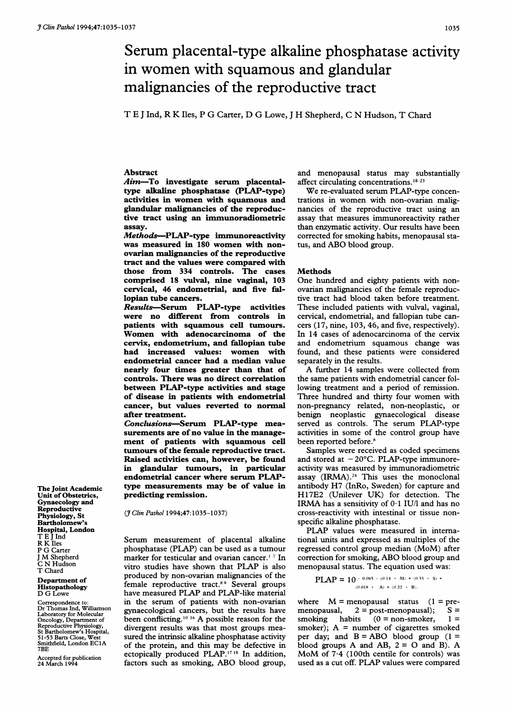## Serum placental-type alkaline phosphatase activity in women with squamous and glandular malignancies of the reproductive tract

T E <sup>J</sup> Ind, R K Iles, P G Carter, D G Lowe, <sup>J</sup> H Shepherd, C N Hudson, T Chard

#### Abstract

Aim-To investigate serum placentaltype alkaline phosphatase (PLAP-type) activities in women with squamous and glandular malignancies of the reproductive tract using an immunoradiometric assay.

Methods-PLAP-type immunoreactivity was measured in 180 women with nonovarian malignancies of the reproductive tract and the values were compared with those from 334 controls. The cases comprised 18 vulval, nine vaginal, 103 cervical, 46 endometrial, and five fallopian tube cancers.

Results-Serum PLAP-type activities were no different from controls in patients with squamous cell tumours. Women with adenocarcinoma of the cervix, endometrium, and fallopian tube had increased values: women with endometrial cancer had a median value nearly four times greater than that of controls. There was no direct correlation between PLAP-type activities and stage of disease in patients with endometrial cancer, but values reverted to normal after treatment.

Conclusions-Serum PLAP-type measurements are of no value in the management of patients with squamous cell tumours of the female reproductive tract. Raised activities can, however, be found in glandular tumours, in particular endometrial cancer where serum PLAPtype measurements may be of value in predicting remission.

The Joint Academic Unit of Obstetrics, Gynaecology and **Reproductive** Physiology, St Bartholomew's Hospital, London T E <sup>J</sup> Ind R KIles P G Carter <sup>J</sup> M Shepherd C N Hudson T Chard

Department of Histopathology D G Lowe

Correspondence to: Dr Thomas Ind, Williamson Laboratory for Molecular Oncology, Department of Reproductive Physiology, St Bartholomew's Hospital, 51-53 Barts Close, West Smithfield, London EC1A<br>7BE

Accepted for publication 24 March 1994

(7 Clin Pathol 1994;47:1035-1037)

Serum measurement of placental alkaline phosphatase (PLAP) can be used as a tumour marker for testicular and ovarian cancer.<sup>1-7</sup> In vitro studies have shown that PLAP is also produced by non-ovarian malignancies of the female reproductive tract.<sup>89</sup> Several groups have measured PLAP and PLAP-like material in the serum of patients with non-ovarian gynaecological cancers, but the results have been conflicting.<sup>10-16</sup> A possible reason for the divergent results was that most groups measured the intrinsic alkaline phosphatase activity of the protein, and this may be defective in ectopically produced PLAP.17 <sup>18</sup> In addition, factors such as smoking, ABO blood group, and menopausal status may substantially affect circulating concentrations. $18-23$ 

We re-evaluated serum PLAP-type concentrations in women with non-ovarian malignancies of the reproductive tract using an assay that measures immunoreactivity rather than enzymatic activity. Our results have been corrected for smoking habits, menopausal status, and ABO blood group.

#### **Methods**

One hundred and eighty patients with nonovarian malignancies of the female reproductive tract had blood taken before treatment. These included patients with vulval, vaginal, cervical, endometrial, and fallopian tube cancers (17, nine, 103, 46, and five, respectively). In 14 cases of adenocarcinoma of the cervix and endometrium squamous change was found, and these patients were considered separately in the results.

A further <sup>14</sup> samples were collected from the same patients with endometrial cancer following treatment and a period of remission. Three hundred and thirty four women with non-pregnancy related, non-neoplastic, or benign neoplastic gynaecological disease served as controls. The serum PLAP-type activities in some of the control group have been reported before.<sup>8</sup>

Samples were received as coded specimens and stored at  $-20^{\circ}$ C. PLAP-type immunoreactivity was measured by immunoradiometric assay  $(IRMA).<sup>24</sup>$  This uses the monoclonal antibody H7 (InRo, Sweden) for capture and H<sup>1</sup> 7E2 (Unilever UK) for detection. The IRMA has <sup>a</sup> sensitivity of 0-1 IU/l and has no cross-reactivity with intestinal or tissue nonspecific alkaline phosphatase.

PLAP values were measured in international units and expressed as multiples of the regressed control group median (MoM) after correction for smoking, ABO blood group and menopausal status. The equation used was:

**PLAP = 10**
$$
(-0.065 - (0.14 \times M) + (0.35 \times S) +
$$
  
 $(0.018 \times A) + (0.22 \times B))$ 

where  $M =$  menopausal status  $(1 =$  pre-<br>menopausal,  $2 =$  post-menopausal);  $S =$  $2 = post-menopausal);$ smoking habits  $(0 = non-smoker, 1 =$ smoker);  $A =$  number of cigarettes smoked per day; and  $B = ABO$  blood group  $(1 =$ blood groups A and AB,  $2 = O$  and B). A MoM of  $7.4$  (100th centile for controls) was used as <sup>a</sup> cut off. PLAP values were compared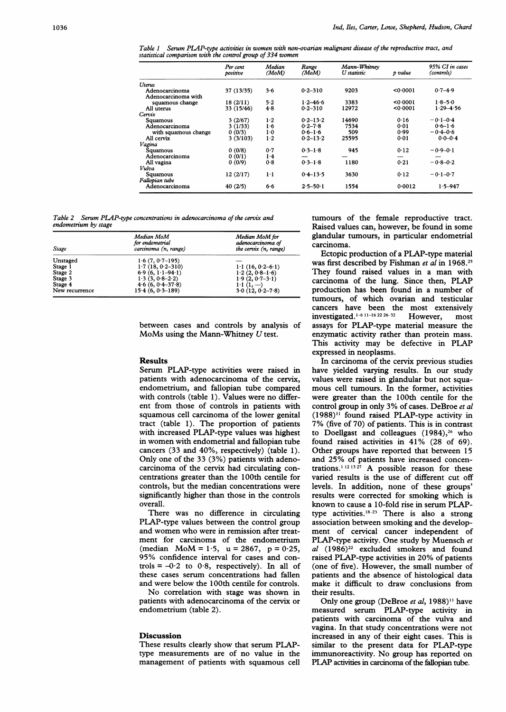Table <sup>1</sup> Serum PLAP-type activities in women with non-ovarian malignant disease of the reproductive tract, and statistical comparison with the control group of 334 women

|                      | Per cent<br>positive | Median<br>(MoM) | Range<br>(MoM) | Mann-Whitnev<br>U statistic | p value | 95% CI in cases<br>(controls) |
|----------------------|----------------------|-----------------|----------------|-----------------------------|---------|-------------------------------|
| Uterus               |                      |                 |                |                             |         |                               |
| Adenocarcinoma       | 37 (13/35)           | 3.6             | $0.2 - 310$    | 9203                        | 0.0001  | $0.7 - 4.9$                   |
| Adenocarcinoma with  |                      |                 |                |                             |         |                               |
| squamous change      | 18(2/11)             | 5.2             | $1.2 - 46.6$   | 3383                        | <0.0001 | $1.8 - 5.0$                   |
| All uterus           | 33 (15/46)           | 4.8             | $0.2 - 310$    | 12972                       | 0.0001  | $1.29 - 4.56$                 |
| Cervix               |                      |                 |                |                             |         |                               |
| Squamous             | 3(2/67)              | $1-2$           | $0.2 - 13.2$   | 14690                       | 0.16    | $-0.1 - 0.4$                  |
| Adenocarcinoma       | 3(1/33)              | 1.6             | $0.2 - 7.8$    | 7534                        | 0.01    | $0.6 - 1.6$                   |
| with squamous change | 0(0/3)               | 1·0             | $0.6 - 1.6$    | 509                         | 0.99    | $-0.4 - 0.6$                  |
| All cervix           | 3(3/103)             | 1·2             | $0.2 - 13.2$   | 25595                       | 0.01    | $0.0 - 0.4$                   |
| Vagina               |                      |                 |                |                             |         |                               |
| Squamous             | 0(0/8)               | 0.7             | $0.3 - 1.8$    | 945                         | 0.12    | $-0.9 - 0.1$                  |
| Adenocarcinoma       | 0(0/1)               | 1.4             |                |                             |         |                               |
| All vagina           | 0(0/9)               | 0.8             | $0.3 - 1.8$    | 1180                        | 0.21    | $-0.8 - 0.2$                  |
| Vulva                |                      |                 |                |                             |         |                               |
| Squamous             | 12(2/17)             | 1·1             | $0.4 - 13.5$   | 3630                        | 0.12    | $-0.1 - 0.7$                  |
| Fallopian tube       |                      |                 |                |                             |         |                               |
| Adenocarcinoma       | 40(2/5)              | 6.6             | $2.5 - 50.1$   | 1554                        | 0.0012  | $1.5 - 947$                   |

Table 2 Serum PLAP-type concentrations in adenocarcinoma of the cervix and endometrium by stage

| <b>Stage</b>   | Median MoM<br>for endometrial<br>carcinoma (n, range) | Median MoM for<br>adenocarcinoma of<br>the cervix (n, range) |  |
|----------------|-------------------------------------------------------|--------------------------------------------------------------|--|
| Unstaged       | $1.6(7, 0.7-195)$                                     |                                                              |  |
| Stage 1        | $1.7(18, 0.2 - 310)$                                  | $1.1(16, 0.2 - 6.1)$                                         |  |
| Stage 2        | $6.9(6, 1.1-94.1)$                                    | $1.2(2, 0.8-1.6)$                                            |  |
| Stage 3        | $1.3(3, 0.8-2.2)$                                     | $1.9(2, 0.7 - 3.1)$                                          |  |
| Stage 4        | $4.6(6, 0.4-37.8)$                                    | $1 \cdot 1 \cdot (1, -)$                                     |  |
| New recurrence | $15.4(6, 0.3 - 189)$                                  | $3.0(12, 0.2 - 7.8)$                                         |  |

between cases and controls by analysis of MoMs using the Mann-Whitney U test.

#### Results

Serum PLAP-type activities were raised in patients with adenocarcinoma of the cervix, endometrium, and fallopian tube compared with controls (table 1). Values were no different from those of controls in patients with squamous cell carcinoma of the lower genital tract (table 1). The proportion of patients with increased PLAP-type values was highest in women with endometrial and fallopian tube cancers (33 and 40%, respectively) (table 1). Only one of the 33 (3%) patients with adenocarcinoma of the cervix had circulating concentrations greater than the 100th centile for controls, but the median concentrations were significantly higher than those in the controls overall.

There was no difference in circulating PLAP-type values between the control group and women who were in remission after treatment for carcinoma of the endometrium (median  $MoM = 1.5$ , u = 2867, p = 0.25, 95% confidence interval for cases and controls =  $-0.2$  to 0.8, respectively). In all of these cases serum concentrations had fallen and were below the 100th centile for controls.

No correlation with stage was shown in patients with adenocarcinoma of the cervix or endometrium (table 2).

#### Discussion

These results clearly show that serum PLAPtype measurements are of no value in the management of patients with squamous cell tumours of the female reproductive tract. Raised values can, however, be found in some glandular tumours, in particular endometrial carcinoma.

Ectopic production of a PLAP-type material was first described by Fishman et al in 1968.<sup>25</sup> They found raised values in <sup>a</sup> man with carcinoma of the lung. Since then, PIAP production has been found in a number of tumours, of which ovarian and testicular cancers have been the most extensively<br>investigated.<sup>1-6 11-16 22 26-32</sup> However, most investigated.<sup>1-6 11-16 22 26-32</sup> However. most assays for PLAP-type material measure the enzymatic activity rather than protein mass. This activity may be defective in PLAP expressed in neoplasms.

In carcinoma of the cervix previous studies have yielded varying results. In our study values were raised in glandular but not squamous cell tumours. In the former, activities were greater than the 100th centile for the control group in only 3% of cases. DeBroe et al  $(1988)^{11}$  found raised PLAP-type activity in 7% (five of 70) of patients. This is in contrast to Doellgast and colleagues  $(1984),^{26}$  who found raised activities in 41% (28 of 69). Other groups have reported that between 15 and 25% of patients have increased concentrations.<sup>1121327</sup> A possible reason for these varied results is the use of different cut off levels. In addition, none of these groups' results were corrected for smoking which is known to cause <sup>a</sup> 10-fold rise in serum PLAPtype activities. 18-23 There is also a strong association between smoking and the development of cervical cancer independent of PLAP-type activity. One study by Muensch et  $al$  (1986)<sup>22</sup> excluded smokers and found raised PLAP-type activities in 20% of patients (one of five). However, the small number of patients and the absence of histological data make it difficult to draw conclusions from their results.

Only one group (DeBroe et al, 1988)<sup>11</sup> have measured serum PLAP-type activity in patients with carcinoma of the vulva and vagina. In that study concentrations were not increased in any of their eight cases. This is similar to the present data for PIAP-type immunoreactivity. No group has reported on PIAP activities in carcinoma of the fallopian tube.